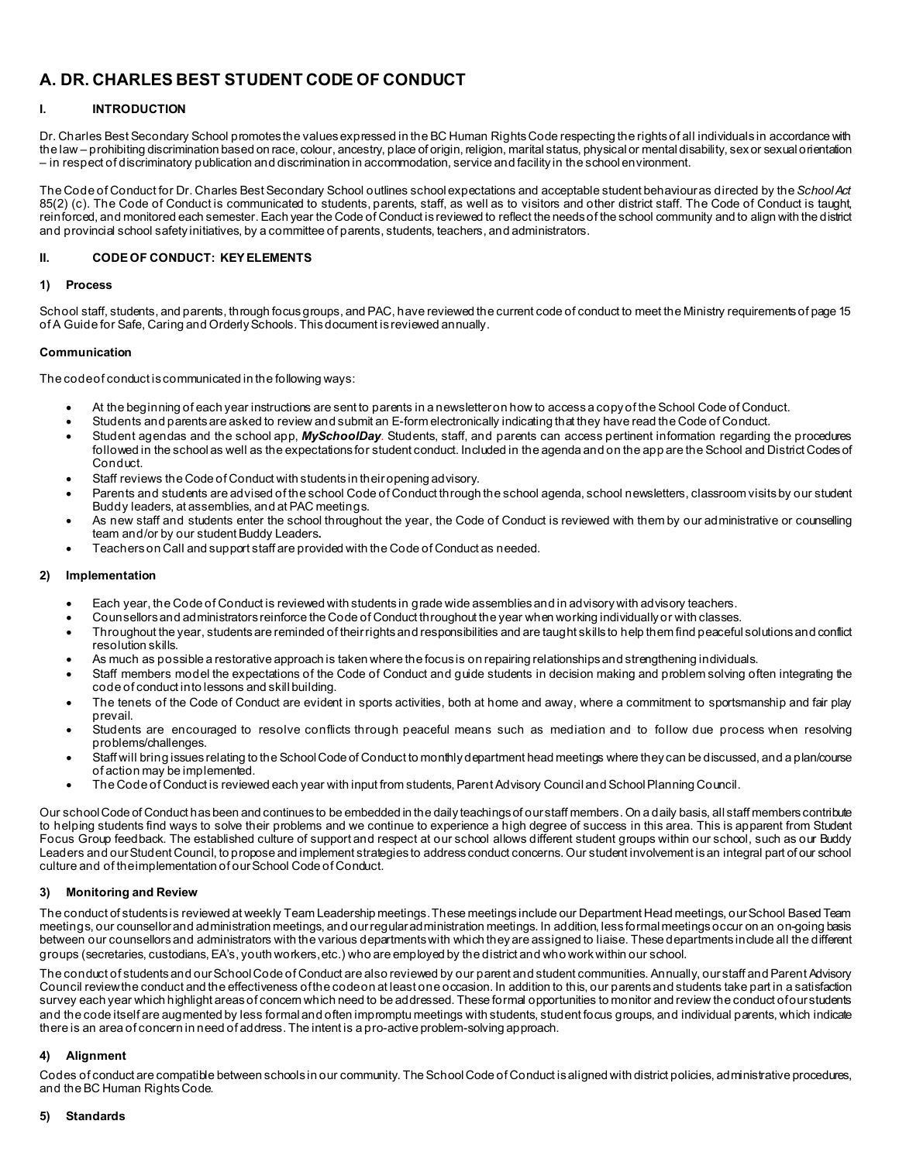# **A. DR. CHARLES BEST STUDENT CODE OF CONDUCT**

# **I. INTRODUCTION**

Dr. Charles Best Secondary School promotes the values expressed in the BC Human Rights Code respecting the rights of all individuals in accordance with the law – prohibiting discrimination based on race, colour, ancestry, place of origin, religion, marital status, physical or mental disability, sex or sexual orientation – in respect of discriminatory publication and discrimination in accommodation, service and facility in the school environment.

The Code of Conduct for Dr. Charles Best Secondary School outlines school expectations and acceptable student behaviour as directed by the *School Act*  85(2) (c). The Code of Conduct is communicated to students, parents, staff, as well as to visitors and other district staff. The Code of Conduct is taught, reinforced, and monitored each semester. Each year the Code of Conduct is reviewed to reflect the needs of the school community and to align with the district and provincial school safety initiatives, by a committee of parents, students, teachers, and administrators.

# **II. CODE OF CONDUCT: KEY ELEMENTS**

## **1) Process**

School staff, students, and parents, through focus groups, and PAC, have reviewed the current code of conduct to meet the Ministry requirements of page 15 of A Guide for Safe, Caring and Orderly Schools. Thisdocument is reviewed annually.

## **Communication**

The code of conduct is communicated in the following ways:

- At the beginning of each year instructions are sent to parents in a newsletter on how to access a copy of the School Code of Conduct.
- Students and parents are asked to review and submit an E-form electronically indicating that they have read the Code of Conduct.
- Student agendas and the school app, *MySchoolDay*. Students, staff, and parents can access pertinent information regarding the procedures followed in the school as well as the expectations for student conduct. Included in the agenda and on the app are the School and District Codes of Conduct.
- Staff reviews the Code of Conduct with students in their opening advisory.
- Parents and students are advised of the school Code of Conduct through the school agenda, school newsletters, classroom visits by our student Buddy leaders, at assemblies, and at PAC meetings.
- As new staff and students enter the school throughout the year, the Code of Conduct is reviewed with them by our administrative or counselling team and/or by our student Buddy Leaders**.**
- Teachers on Call and support staff are provided with the Code of Conduct as needed.

# **2) Implementation**

- Each year, the Code of Conduct is reviewed with students in grade wide assemblies and in advisory with advisory teachers.
- Counsellors and administrators reinforce the Code of Conduct throughout the year when working individually or with classes.
- Throughout the year, students are reminded of their rights and responsibilities and are taught skills to help them find peaceful solutions and conflict resolution skills.
- As much as possible a restorative approach is taken where the focus is on repairing relationships and strengthening individuals.
- Staff members model the expectations of the Code of Conduct and guide students in decision making and problem solving often integrating the code of conduct into lessons and skill building.
- The tenets of the Code of Conduct are evident in sports activities, both at home and away, where a commitment to sportsmanship and fair play prevail.
- Students are encouraged to resolve conflicts through peaceful means such as mediation and to follow due process when resolving problems/challenges.
- Staff will bring issues relating to the School Code of Conduct to monthly department head meetings where they can be discussed, and a plan/course of action may be implemented.
- The Code of Conduct is reviewed each year with input from students, Parent Advisory Council and School Planning Council.

Our school Code of Conduct has been and continues to be embedded in the daily teachings of our staff members. On a daily basis, all staff members contribute to helping students find ways to solve their problems and we continue to experience a high degree of success in this area. This is apparent from Student Focus Group feedback. The established culture of support and respect at our school allows different student groups within our school, such as our Buddy Leaders and our Student Council, to propose and implement strategies to address conduct concerns. Our student involvement is an integral part of our school culture and of the implementation of our School Code of Conduct.

# **3) Monitoring and Review**

The conduct of students is reviewed at weekly Team Leadership meetings. These meetings include our Department Head meetings, our School Based Team meetings, our counsellor and administration meetings, and our regular administration meetings. In addition, less formal meetings occur on an on-going basis between our counsellors and administrators with the various departments with which they are assigned to liaise. These departments include all the different groups (secretaries, custodians, EA's, youth workers, etc.) who are employed by the district and who work within our school.

The conduct of students and our School Code of Conduct are also reviewed by our parent and student communities. Annually, our staff and Parent Advisory Council review the conduct and the effectiveness of the code on at least one occasion. In addition to this, our parents and students take part in a satisfaction survey each year which highlight areas of concern which need to be addressed. These formal opportunities to monitor and review the conduct of our students and the code itself are augmented by less formal and often impromptu meetings with students, student focus groups, and individual parents, which indicate there is an area of concern in need of address. The intent is a pro-active problem-solving approach.

# **4) Alignment**

Codes of conduct are compatible between schools in our community. The School Code of Conduct is aligned with district policies, administrative procedures, and the BC Human Rights Code.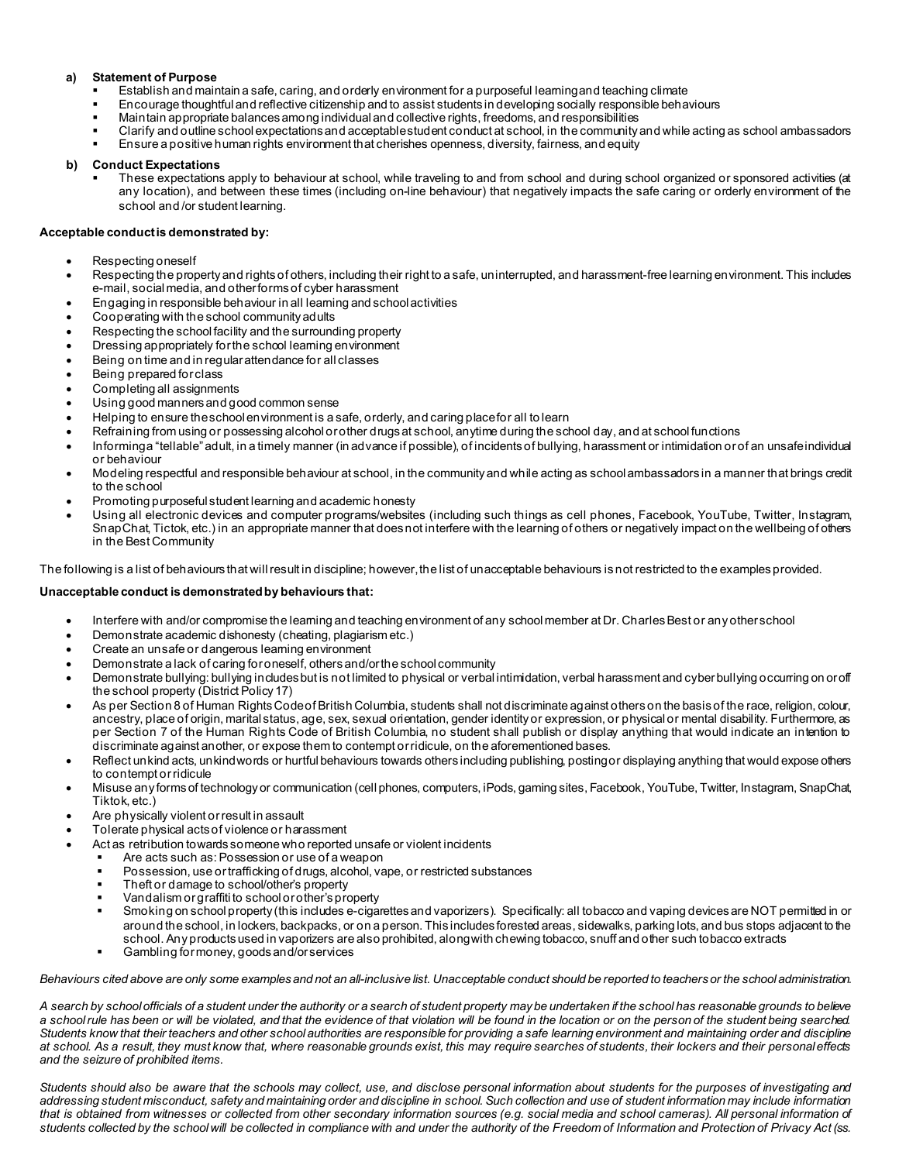#### **a) Statement of Purpose**

- Establish and maintain a safe, caring, and orderly environment for a purposeful learning and teaching climate
- Encourage thoughtful and reflective citizenship and to assist students in developing socially responsible behaviours
- Maintain appropriate balances among individual and collective rights, freedoms, and responsibilities
- Clarify and outline school expectations and acceptable student conduct at school, in the community and while acting as school ambassadors
- Ensure a positive human rights environment that cherishes openness, diversity, fairness, and equity

#### **b) Conduct Expectations**

 These expectations apply to behaviour at school, while traveling to and from school and during school organized or sponsored activities (at any location), and between these times (including on-line behaviour) that negatively impacts the safe caring or orderly environment of the school and /or student learning.

#### **Acceptable conduct is demonstrated by:**

- Respecting oneself
- Respecting the property and rights of others, including their right to a safe, uninterrupted, and harassment-free learning environment. This includes e-mail, social media, and other forms of cyber harassment
- Engaging in responsible behaviour in all learning and school activities
- Cooperating with the school community adults
- Respecting the school facility and the surrounding property
- Dressing appropriately for the school learning environment
- Being on time and in regular attendance for all classes
- Being prepared for class
- Completing all assignments
- Using good manners and good common sense
- Helping to ensure the school environment is a safe, orderly, and caring place for all to learn
- Refraining from using or possessing alcohol or other drugs at school, anytime during the school day, and at school functions
- Informing a "tellable"adult, in a timely manner (in advance if possible), of incidents of bullying, harassment or intimidation orof an unsafe individual or behaviour
- Modeling respectful and responsible behaviour at school, in the community and while acting as school ambassadors in a manner that brings credit to the school
- Promoting purposeful student learning and academic honesty
- Using all electronic devices and computer programs/websites (including such things as cell phones, Facebook, YouTube, Twitter, Instagram, SnapChat, Tictok, etc.) in an appropriate manner that does not interfere with the learning of others or negatively impact on the wellbeing of others in the Best Community

The following is a list of behaviours that will result in discipline; however, the list of unacceptable behaviours is not restricted to the examples provided.

#### **Unacceptable conduct is demonstrated by behaviours that:**

- Interfere with and/or compromise the learning and teaching environment of any school member at Dr. Charles Best or any other school
- Demonstrate academic dishonesty (cheating, plagiarism etc.)
- Create an unsafe or dangerous learning environment
- Demonstrate a lack of caring for oneself, others and/or the school community
- Demonstrate bullying: bullying includes but is not limited to physical or verbal intimidation, verbal harassment and cyber bullying occurring on or off the school property (District Policy 17)
- As per Section 8 of Human Rights Code of British Columbia, students shall not discriminate against others on the basis of the race, religion, colour, ancestry, place of origin, marital status, age, sex, sexual orientation, gender identity or expression, or physical or mental disability. Furthermore, as per Section 7 of the Human Rights Code of British Columbia, no student shall publish or display anything that would indicate an intention to discriminate against another, or expose them to contempt or ridicule, on the aforementioned bases.
- Reflect unkind acts, unkind words or hurtful behaviours towards others including publishing, posting or displaying anything that would expose others to contempt or ridicule
- Misuse any forms of technology or communication (cell phones, computers, iPods, gaming sites, Facebook, YouTube, Twitter, Instagram, SnapChat, Tiktok, etc.)
- Are physically violent or result in assault
- Tolerate physical acts of violence or harassment
- Act as retribution towards someone who reported unsafe or violent incidents
	- Are acts such as: Possession or use of a weapon
		- Possession, use or trafficking of drugs, alcohol, vape, or restricted substances
	- Theft or damage to school/other's property
	- Vandalism or graffiti to school or other's property
	- Smoking on school property (this includes e-cigarettes and vaporizers). Specifically: all tobacco and vaping devices are NOT permitted in or around the school, in lockers, backpacks, or on a person. This includes forested areas, sidewalks, parking lots, and bus stops adjacent to the school. Any products used in vaporizers are also prohibited, along with chewing tobacco, snuff and other such tobacco extracts
	- Gambling for money, goods and/or services

*Behaviours cited above are only some examples and not an all-inclusive list. Unacceptable conduct should be reported to teachers or the school administration.*

*A search by school officials of a student under the authority or a search of student property may be undertaken if the school has reasonable grounds to believe a school rule has been or will be violated, and that the evidence of that violation will be found in the location or on the person of the student being searched. Students know that their teachers and other school authorities are responsible for providing a safe learning environment and maintaining order and discipline at school. As a result, they must know that, where reasonable grounds exist, this may require searches of students, their lockers and their personal effects and the seizure of prohibited items.* 

*Students should also be aware that the schools may collect, use, and disclose personal information about students for the purposes of investigating and addressing student misconduct, safety and maintaining order and discipline in school. Such collection and use of student information may include information that is obtained from witnesses or collected from other secondary information sources (e.g. social media and school cameras). All personal information of students collected by the school will be collected in compliance with and under the authority of the Freedom of Information and Protection of Privacy Act (ss.*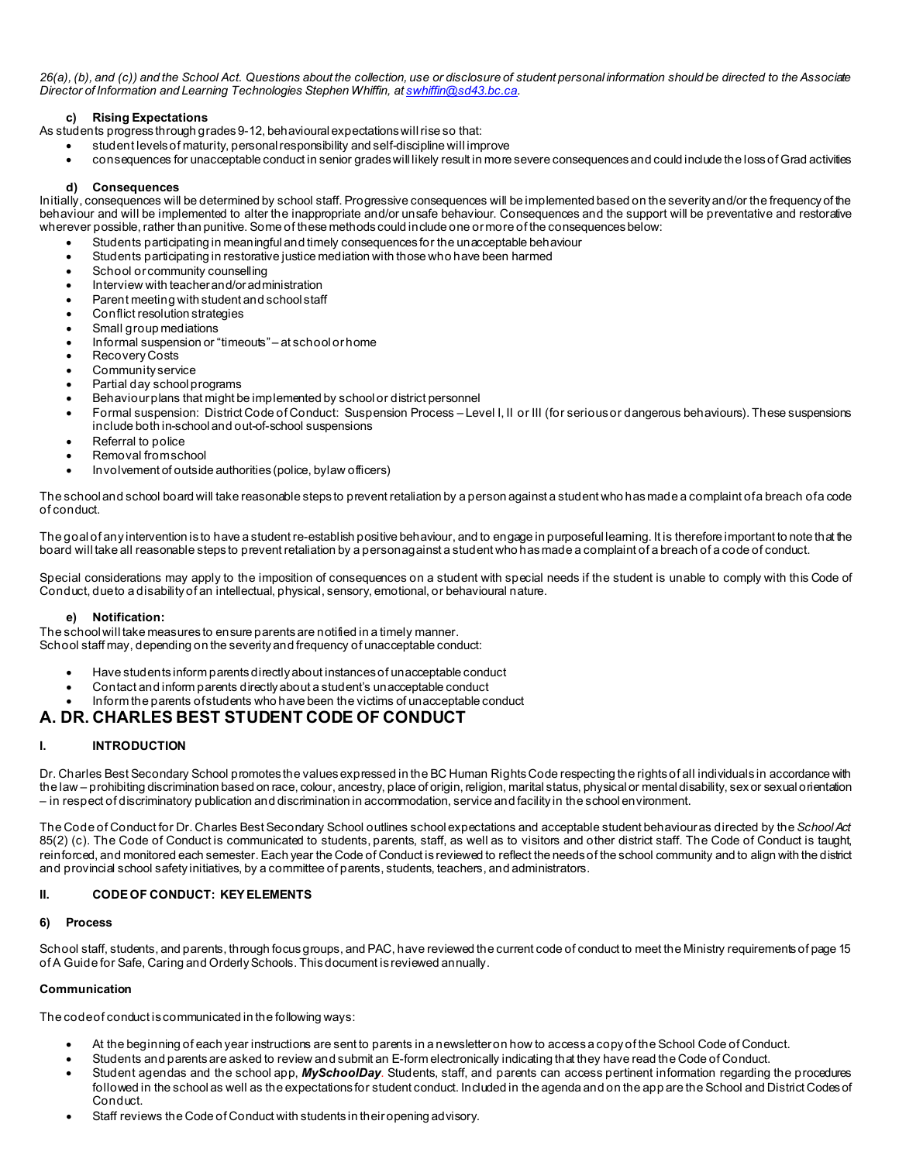*26(a), (b), and (c)) and the School Act. Questions about the collection, use or disclosure of student personal information should be directed to the Associate Director of Information and Learning Technologies Stephen Whiffin, a[t swhiffin@sd43.bc.ca.](mailto:swhiffin@sd43.bc.ca)*

## **c) Rising Expectations**

As students progress through grades 9-12, behavioural expectations will rise so that:

- student levels of maturity, personal responsibility and self-discipline will improve
- consequences for unacceptable conduct in senior grades will likely result in more severe consequences and could include the loss of Grad activities

#### **d) Consequences**

Initially, consequences will be determined by school staff. Progressive consequences will be implemented based on the severity and/or the frequency of the behaviour and will be implemented to alter the inappropriate and/or unsafe behaviour. Consequences and the support will be preventative and restorative wherever possible, rather than punitive. Some of these methods could include one or more of the consequences below:

- Students participating in meaningful and timely consequences for the unacceptable behaviour
- Students participating in restorative justice mediation with those who have been harmed
- School or community counselling
- Interview with teacher and/or administration
- Parent meeting with student and school staff
- Conflict resolution strategies
- Small group mediations
- Informal suspension or "timeouts" at school or home
- Recovery Costs
- Community service
- Partial day school programs
- Behaviour plans that might be implemented by school or district personnel
- Formal suspension: District Code of Conduct: Suspension Process Level I, II or III (for serious or dangerous behaviours). These suspensions include both in-school and out-of-school suspensions
- Referral to police
- Removal from school
- Involvement of outside authorities (police, bylaw officers)

The school and school board will take reasonable steps to prevent retaliation by a person against a student who has made a complaint of a breach of a code of conduct.

The goal of any intervention is to have a student re-establish positive behaviour, and to engage in purposeful learning. It is therefore important to note that the board will take all reasonable steps to prevent retaliation by a person against a student who has made a complaint of a breach of a code of conduct.

Special considerations may apply to the imposition of consequences on a student with special needs if the student is unable to comply with this Code of Conduct, due to a disability of an intellectual, physical, sensory, emotional, or behavioural nature.

#### **e) Notification:**

The school will take measures to ensure parents are notified in a timely manner. School staff may, depending on the severity and frequency of unacceptable conduct:

- Have students inform parents directly about instances of unacceptable conduct
- Contact and inform parents directly about a student's unacceptable conduct
- Inform the parents of students who have been the victims of unacceptable conduct

# **A. DR. CHARLES BEST STUDENT CODE OF CONDUCT**

# **I. INTRODUCTION**

Dr. Charles Best Secondary School promotes the values expressed in the BC Human Rights Code respecting the rights of all individuals in accordance with the law – prohibiting discrimination based on race, colour, ancestry, place of origin, religion, marital status, physical or mental disability, sex or sexual orientation – in respect of discriminatory publication and discrimination in accommodation, service and facility in the school environment.

The Code of Conduct for Dr. Charles Best Secondary School outlines school expectations and acceptable student behaviour as directed by the *School Act*  85(2) (c). The Code of Conduct is communicated to students, parents, staff, as well as to visitors and other district staff. The Code of Conduct is taught, reinforced, and monitored each semester. Each year the Code of Conduct is reviewed to reflect the needs of the school community and to align with the district and provincial school safety initiatives, by a committee of parents, students, teachers, and administrators.

# **II. CODE OF CONDUCT: KEY ELEMENTS**

# **6) Process**

School staff, students, and parents, through focus groups, and PAC, have reviewed the current code of conduct to meet the Ministry requirements of page 15 of A Guide for Safe, Caring and Orderly Schools. Thisdocument is reviewed annually.

# **Communication**

The code of conduct is communicated in the following ways:

- At the beginning of each year instructions are sent to parents in a newsletter on how to access a copy of the School Code of Conduct.
- Students and parents are asked to review and submit an E-form electronically indicating that they have read the Code of Conduct.
- Student agendas and the school app, *MySchoolDay*. Students, staff, and parents can access pertinent information regarding the procedures followed in the school as well as the expectations for student conduct. Included in the agenda and on the app are the School and District Codes of Conduct.
- Staff reviews the Code of Conduct with students in their opening advisory.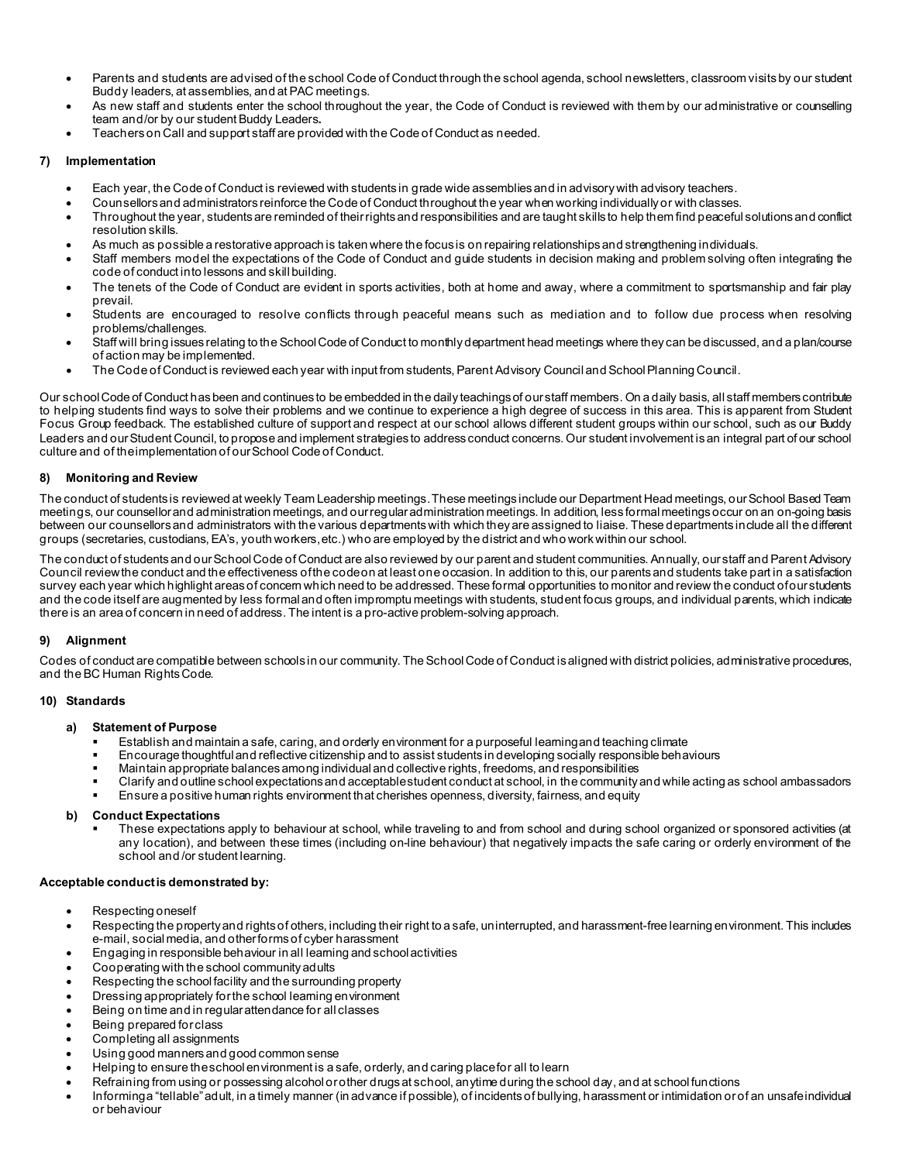- Parents and students are advised of the school Code of Conduct through the school agenda, school newsletters, classroom visits by our student Buddy leaders, at assemblies, and at PAC meetings.
- As new staff and students enter the school throughout the year, the Code of Conduct is reviewed with them by our administrative or counselling team and/or by our student Buddy Leaders**.**
- Teachers on Call and support staff are provided with the Code of Conduct as needed.

# **7) Implementation**

- Each year, the Code of Conduct is reviewed with students in grade wide assemblies and in advisory with advisory teachers.
- Counsellors and administrators reinforce the Code of Conduct throughout the year when working individually or with classes.
- Throughout the year, students are reminded of their rights and responsibilities and are taught skills to help them find peaceful solutions and conflict resolution skills.
- As much as possible a restorative approach is taken where the focus is on repairing relationships and strengthening individuals.
- Staff members model the expectations of the Code of Conduct and guide students in decision making and problem solving often integrating the code of conduct into lessons and skill building.
- The tenets of the Code of Conduct are evident in sports activities, both at home and away, where a commitment to sportsmanship and fair play prevail.
- Students are encouraged to resolve conflicts through peaceful means such as mediation and to follow due process when resolving problems/challenges.
- Staff will bring issues relating to the School Code of Conduct to monthly department head meetings where they can be discussed, and a plan/course of action may be implemented.
- The Code of Conduct is reviewed each year with input from students, Parent Advisory Council and School Planning Council.

Our school Code of Conduct has been and continues to be embedded in the daily teachings of our staff members. On a daily basis, all staff members contribute to helping students find ways to solve their problems and we continue to experience a high degree of success in this area. This is apparent from Student Focus Group feedback. The established culture of support and respect at our school allows different student groups within our school, such as our Buddy Leaders and our Student Council, to propose and implement strategies to address conduct concerns. Our student involvement is an integral part of our school culture and of the implementation of our School Code of Conduct.

## **8) Monitoring and Review**

The conduct of students is reviewed at weekly Team Leadership meetings. These meetings include our Department Head meetings, our School Based Team meetings, our counsellor and administration meetings, and our regular administration meetings. In addition, less formal meetings occur on an on-going basis between our counsellors and administrators with the various departments with which they are assigned to liaise. These departments include all the different groups (secretaries, custodians, EA's, youth workers, etc.) who are employed by the district and who work within our school.

The conduct of students and our School Code of Conduct are also reviewed by our parent and student communities. Annually, our staff and Parent Advisory Council review the conduct and the effectiveness of the code on at least one occasion. In addition to this, our parents and students take part in a satisfaction survey each year which highlight areas of concern which need to be addressed. These formal opportunities to monitor and review the conduct of our students and the code itself are augmented by less formal and often impromptu meetings with students, student focus groups, and individual parents, which indicate there is an area of concern in need of address. The intent is a pro-active problem-solving approach.

#### **9) Alignment**

Codes of conduct are compatible between schools in our community. The School Code of Conduct is aligned with district policies, administrative procedures, and the BC Human Rights Code.

#### **10) Standards**

#### **a) Statement of Purpose**

- Establish and maintain a safe, caring, and orderly environment for a purposeful learning and teaching climate
- Encourage thoughtful and reflective citizenship and to assist students in developing socially responsible behaviours
- Maintain appropriate balances among individual and collective rights, freedoms, and responsibilities
- Clarify and outline school expectations and acceptable student conduct at school, in the community and while acting as school ambassadors
- Ensure a positive human rights environment that cherishes openness, diversity, fairness, and equity

## **b) Conduct Expectations**

 These expectations apply to behaviour at school, while traveling to and from school and during school organized or sponsored activities (at any location), and between these times (including on-line behaviour) that negatively impacts the safe caring or orderly environment of the school and /or student learning.

#### **Acceptable conduct is demonstrated by:**

- Respecting oneself
- Respecting the property and rights of others, including their right to a safe, uninterrupted, and harassment-free learning environment. This includes e-mail, social media, and other forms of cyber harassment
- Engaging in responsible behaviour in all learning and school activities
- Cooperating with the school community adults
- Respecting the school facility and the surrounding property
- Dressing appropriately for the school learning environment
- Being on time and in regular attendance for all classes
- Being prepared for class
- Completing all assignments
- Using good manners and good common sense
- Helping to ensure the school environment is a safe, orderly, and caring place for all to learn
- Refraining from using or possessing alcohol or other drugs at school, anytime during the school day, and at school functions
- Informing a "tellable"adult, in a timely manner (in advance if possible), of incidents of bullying, harassment or intimidation orof an unsafe individual or behaviour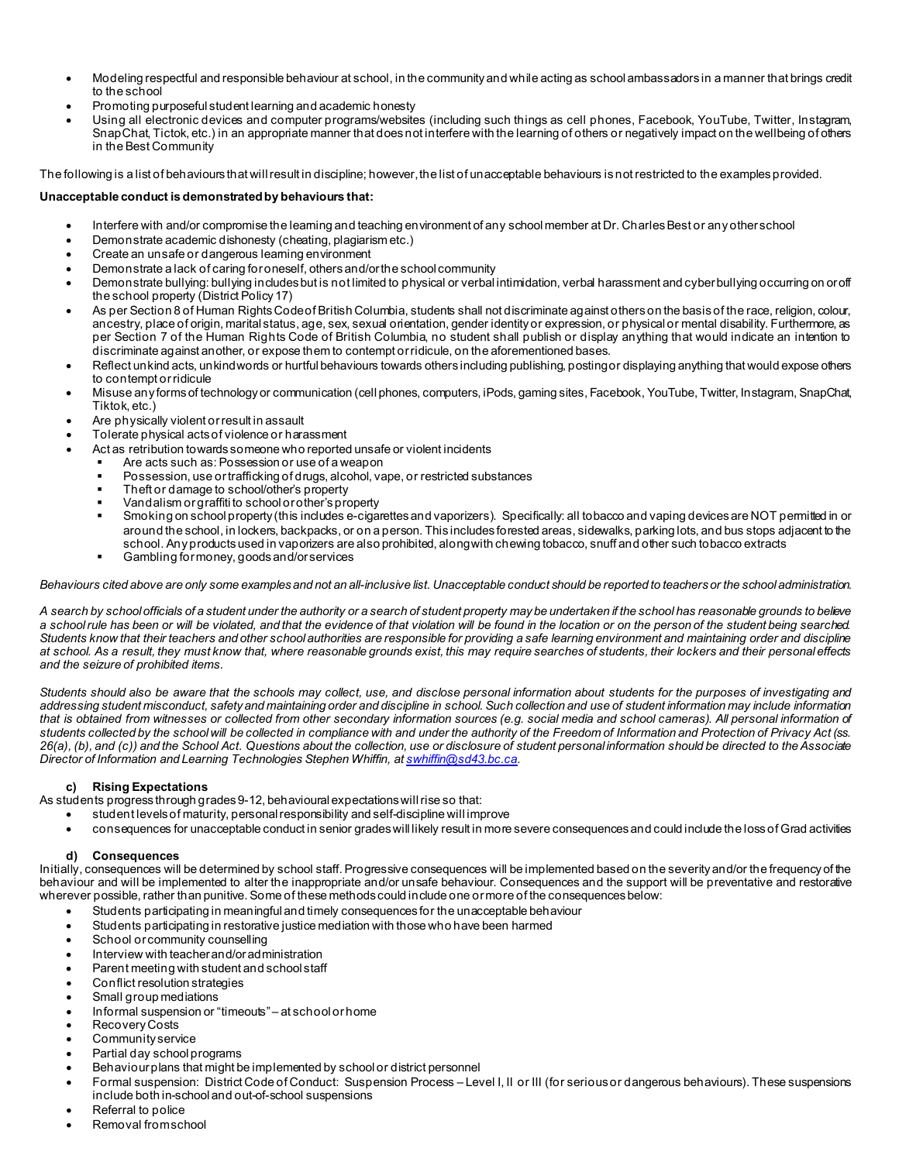- Modeling respectful and responsible behaviour at school, in the community and while acting as school ambassadors in a manner that brings credit to the school
- Promoting purposeful student learning and academic honesty
- Using all electronic devices and computer programs/websites (including such things as cell phones, Facebook, YouTube, Twitter, Instagram, SnapChat, Tictok, etc.) in an appropriate manner that does not interfere with the learning of others or negatively impact on the wellbeing of others in the Best Community

The following is a list of behaviours that will result in discipline; however, the list of unacceptable behaviours is not restricted to the examples provided.

# **Unacceptable conduct is demonstrated by behaviours that:**

- Interfere with and/or compromise the learning and teaching environment of any school member at Dr. Charles Best or any other school
- Demonstrate academic dishonesty (cheating, plagiarism etc.)
- Create an unsafe or dangerous learning environment
- Demonstrate a lack of caring for oneself, others and/or the school community
- Demonstrate bullying: bullying includes but is not limited to physical or verbal intimidation, verbal harassment and cyber bullying occurring on or off the school property (District Policy 17)
- As per Section 8 of Human Rights Code of British Columbia, students shall not discriminate against others on the basis of the race, religion, colour, ancestry, place of origin, marital status, age, sex, sexual orientation, gender identity or expression, or physical or mental disability. Furthermore, as per Section 7 of the Human Rights Code of British Columbia, no student shall publish or display anything that would indicate an intention to discriminate against another, or expose them to contempt or ridicule, on the aforementioned bases.
- Reflect unkind acts, unkind words or hurtful behaviours towards others including publishing, posting or displaying anything that would expose others to contempt or ridicule
- Misuse any forms of technology or communication (cell phones, computers, iPods, gaming sites, Facebook, YouTube, Twitter, Instagram, SnapChat, Tiktok, etc.)
- Are physically violent or result in assault
- Tolerate physical acts of violence or harassment
	- Act as retribution towards someone who reported unsafe or violent incidents
		- Are acts such as: Possession or use of a weapon
		- Possession, use or trafficking of drugs, alcohol, vape, or restricted substances
		- Theft or damage to school/other's property
		- Vandalism or graffiti to school or other's property
		- Smoking on school property (this includes e-cigarettes and vaporizers). Specifically: all tobacco and vaping devices are NOT permitted in or around the school, in lockers, backpacks, or on a person. This includes forested areas, sidewalks, parking lots, and bus stops adjacent to the school. Any products used in vaporizers are also prohibited, along with chewing tobacco, snuff and other such tobacco extracts
		- Gambling for money, goods and/or services

*Behaviours cited above are only some examples and not an all-inclusive list. Unacceptable conduct should be reported to teachers or the school administration.*

*A search by school officials of a student under the authority or a search of student property may be undertaken if the school has reasonable grounds to believe a school rule has been or will be violated, and that the evidence of that violation will be found in the location or on the person of the student being searched. Students know that their teachers and other school authorities are responsible for providing a safe learning environment and maintaining order and discipline at school. As a result, they must know that, where reasonable grounds exist, this may require searches of students, their lockers and their personal effects and the seizure of prohibited items.* 

*Students should also be aware that the schools may collect, use, and disclose personal information about students for the purposes of investigating and addressing student misconduct, safety and maintaining order and discipline in school. Such collection and use of student information may include information that is obtained from witnesses or collected from other secondary information sources (e.g. social media and school cameras). All personal information of students collected by the school will be collected in compliance with and under the authority of the Freedom of Information and Protection of Privacy Act (ss. 26(a), (b), and (c)) and the School Act. Questions about the collection, use or disclosure of student personal information should be directed to the Associate Director of Information and Learning Technologies Stephen Whiffin, a[t swhiffin@sd43.bc.ca.](mailto:swhiffin@sd43.bc.ca)*

# **c) Rising Expectations**

As students progress through grades 9-12, behavioural expectations will rise so that:

- student levels of maturity, personal responsibility and self-discipline will improve
- consequences for unacceptable conduct in senior grades will likely result in more severe consequences and could include the loss of Grad activities

#### **d) Consequences**

Initially, consequences will be determined by school staff. Progressive consequences will be implemented based on the severity and/or the frequency of the behaviour and will be implemented to alter the inappropriate and/or unsafe behaviour. Consequences and the support will be preventative and restorative wherever possible, rather than punitive. Some of these methods could include one or more of the consequences below:

- Students participating in meaningful and timely consequences for the unacceptable behaviour
- Students participating in restorative justice mediation with those who have been harmed
- School or community counselling
- Interview with teacher and/or administration
- Parent meeting with student and school staff
- Conflict resolution strategies
- Small group mediations
- Informal suspension or "timeouts" at school or home
- Recovery Costs
- Community service
- Partial day school programs
- Behaviour plans that might be implemented by school or district personnel
- Formal suspension: District Code of Conduct: Suspension Process Level I, II or III (for serious or dangerous behaviours). These suspensions include both in-school and out-of-school suspensions
- Referral to police
- Removal from school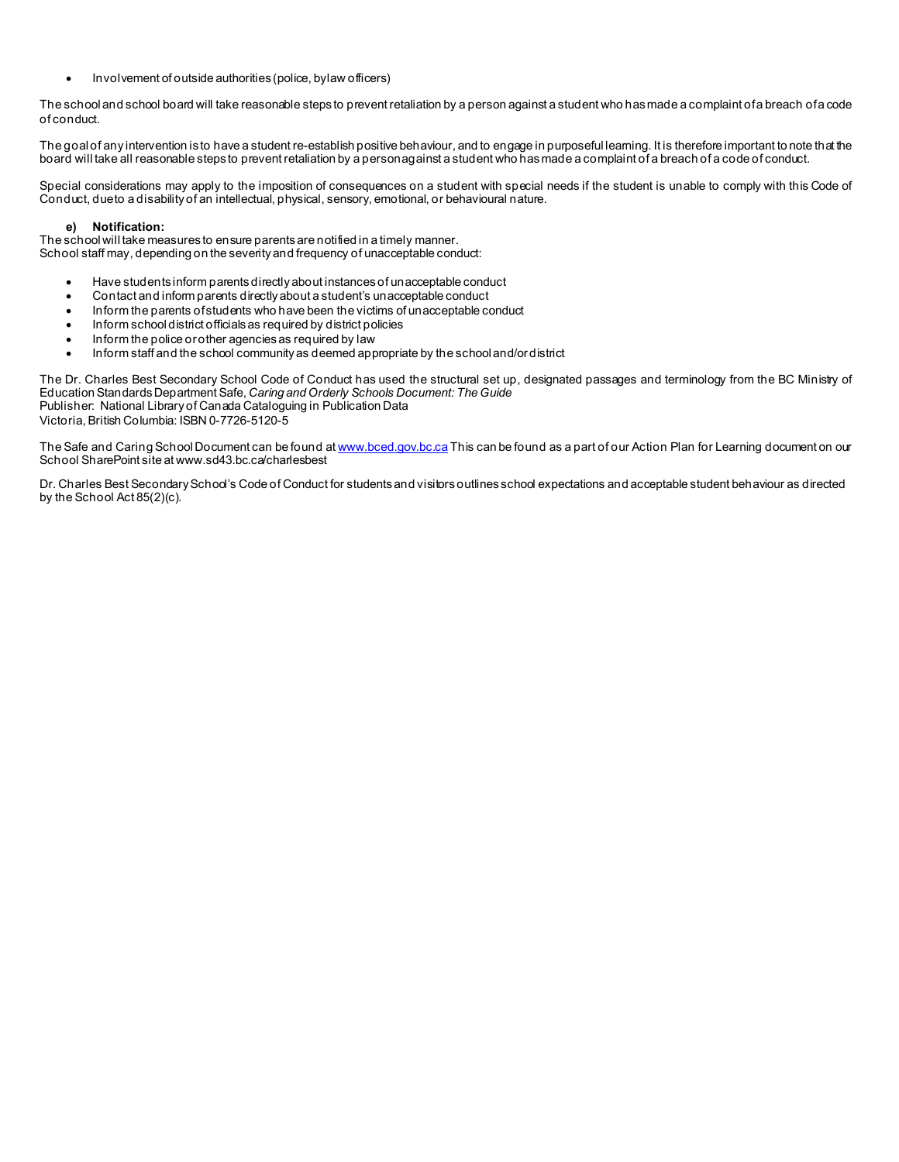• Involvement of outside authorities (police, bylaw officers)

The school and school board will take reasonable steps to prevent retaliation by a person against a student who has made a complaint of a breach of a code of conduct.

The goal of any intervention is to have a student re-establish positive behaviour, and to engage in purposeful learning. It is therefore important to note that the board will take all reasonable steps to prevent retaliation by a person against a student who has made a complaint of a breach of a code of conduct.

Special considerations may apply to the imposition of consequences on a student with special needs if the student is unable to comply with this Code of Conduct, due to a disability of an intellectual, physical, sensory, emotional, or behavioural nature.

#### **e) Notification:**

The school will take measures to ensure parents are notified in a timely manner. School staff may, depending on the severity and frequency of unacceptable conduct:

- Have students inform parents directly about instances of unacceptable conduct
- Contact and inform parents directly about a student's unacceptable conduct
- Inform the parents of students who have been the victims of unacceptable conduct
- Inform school district officials as required by district policies
- Inform the police or other agencies as required by law
- Inform staff and the school community as deemed appropriate by the school and/or district

The Dr. Charles Best Secondary School Code of Conduct has used the structural set up, designated passages and terminology from the BC Ministry of Education Standards Department Safe, *Caring and Orderly Schools Document: The Guide* Publisher: National Library of Canada Cataloguing in Publication Data Victoria, British Columbia: ISBN 0-7726-5120-5

The Safe and Caring School Document can be found at [www.bced.gov.bc.ca](http://www.bced.gov.bc.ca/) This can be found as a part of our Action Plan for Learning document on our School SharePoint site at www.sd43.bc.ca/charlesbest

Dr. Charles Best Secondary School's Code of Conduct for students and visitors outlines school expectations and acceptable student behaviour as directed by the School Act 85(2)(c).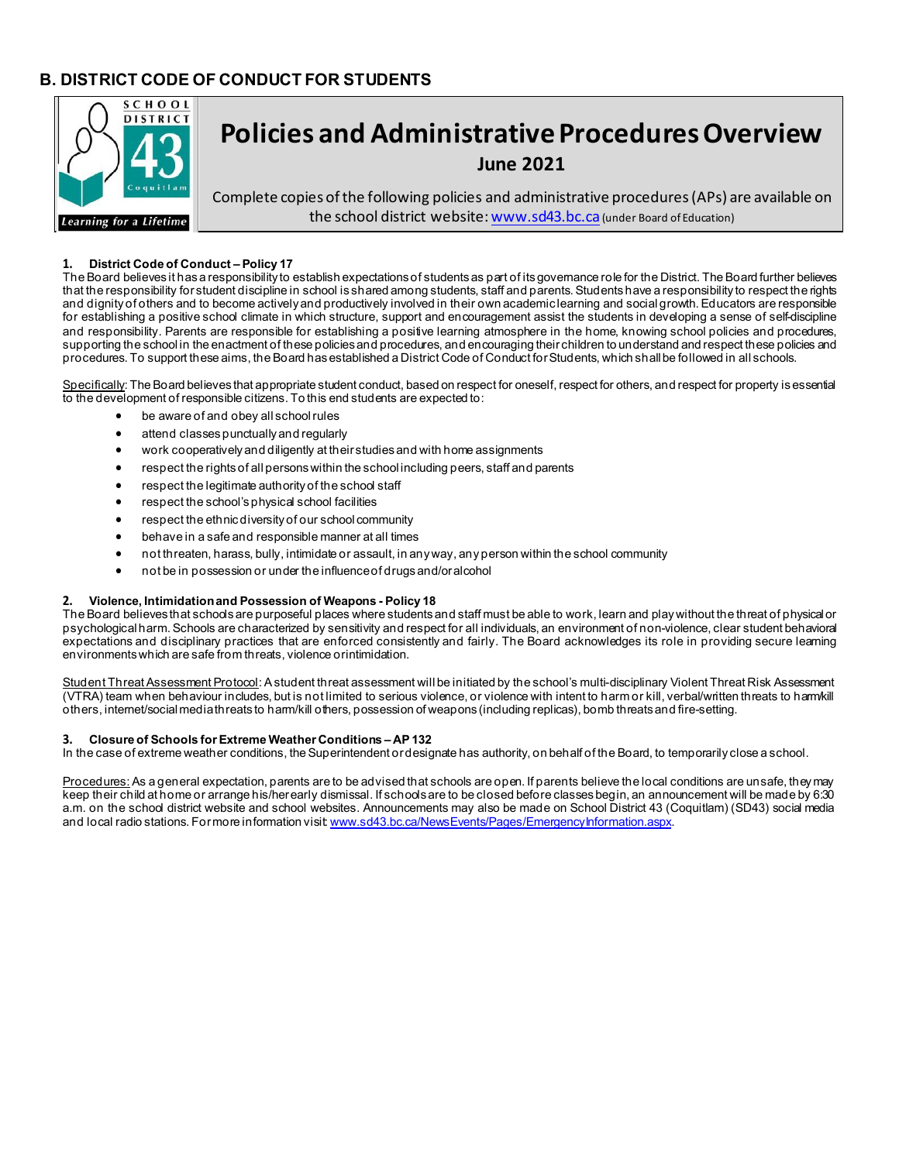# **B. DISTRICT CODE OF CONDUCT FOR STUDENTS**



# **1. District Code of Conduct – Policy 17**

The Board believes it has a responsibility to establish expectations of students as part of its governance role for the District. The Board further believes that the responsibility for student discipline in school is shared among students, staff and parents. Students have a responsibility to respect the rights and dignity of others and to become actively and productively involved in their own academic learning and social growth. Educators are responsible for establishing a positive school climate in which structure, support and encouragement assist the students in developing a sense of self-discipline and responsibility. Parents are responsible for establishing a positive learning atmosphere in the home, knowing school policies and procedures, supporting the school in the enactment of these policies and procedures, and encouraging their children to understand and respect these policies and procedures. To support these aims, the Board has established a District Code of Conduct for Students, which shall be followed in all schools.

Specifically: The Board believes that appropriate student conduct, based on respect for oneself, respect for others, and respect for property is essential to the development of responsible citizens. To this end students are expected to:

- be aware of and obey all school rules
- attend classes punctually and regularly
- work cooperatively and diligently at their studies and with home assignments
- respect the rights of all persons within the school including peers, staff and parents
- respect the legitimate authority of the school staff
- respect the school's physical school facilities
- respect the ethnic diversity of our school community
- behave in a safe and responsible manner at all times
- not threaten, harass, bully, intimidate or assault, in any way, any person within the school community
- not be in possession or under the influence of drugs and/oralcohol

#### **2. Violence, Intimidation and Possession of Weapons - Policy 18**

The Board believes that schools are purposeful places where students and staff must be able to work, learn and play without the threat of physical or psychological harm. Schools are characterized by sensitivity and respect for all individuals, an environment of non-violence, clear student behavioral expectations and disciplinary practices that are enforced consistently and fairly. The Board acknowledges its role in providing secure learning environments which are safe from threats, violence orintimidation.

Student Threat Assessment Protocol: A student threat assessment will be initiated by the school's multi-disciplinary Violent Threat Risk Assessment (VTRA) team when behaviour includes, but is not limited to serious violence, or violence with intent to harm or kill, verbal/written threats to harm/kill others, internet/social media threats to harm/kill others, possession of weapons (including replicas), bomb threats and fire-setting.

#### **3. Closure of Schools for Extreme Weather Conditions – AP132**

In the case of extreme weather conditions, the Superintendent or designate has authority, on behalf of the Board, to temporarily close a school.

Procedures: As a general expectation, parents are to be advised that schools are open. If parents believe the local conditions are unsafe, they may keep their child at home or arrange his/her early dismissal. If schools are to be closed before classes begin, an announcement will be made by 6:30 a.m. on the school district website and school websites. Announcements may also be made on School District 43 (Coquitlam) (SD43) social media and local radio stations. For more information visi[t: www.sd43.bc.ca/NewsEvents/Pages/EmergencyInformation.aspx.](http://www.sd43.bc.ca/NewsEvents/Pages/EmergencyInformation.aspx)